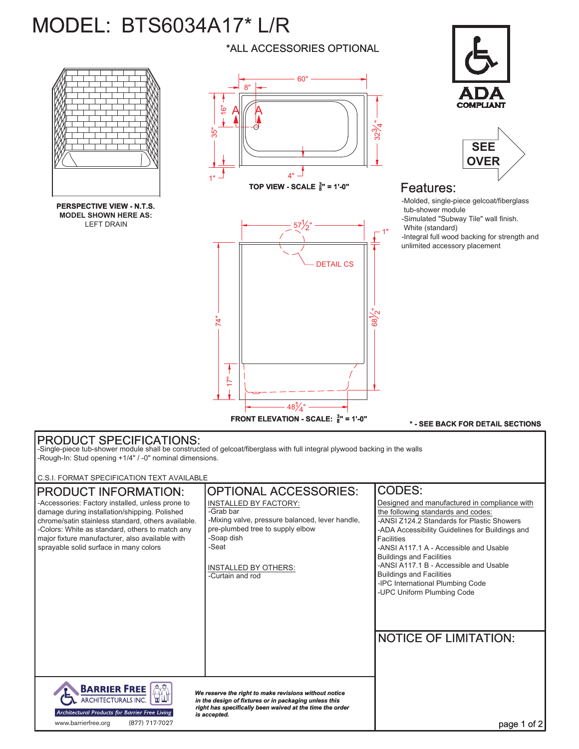# MODEL: BTS6034A17\* L/R



**PERSPECTIVE VIEW - N.T.S. MODEL SHOWN HERE AS:** LEFT DRAIN



\*ALL ACCESSORIES OPTIONAL

**TOP VIEW - SCALE**  $\frac{3}{8}$ **" = 1'-0"** 



**COMPLIAN** 



## Features:

-Molded, single-piece gelcoat/fiberglass tub-shower module -Simulated "Subway Tile" wall finish. White (standard) -Integral full wood backing for strength and unlimited accessory placement

### **\* - SEE BACK FOR DETAIL SECTIONS**

## PRODUCT SPECIFICATIONS:

-Single-piece tub-shower module shall be constructed of gelcoat/fiberglass with full integral plywood backing in the walls -Rough-In: Stud opening +1/4" / -0" nominal dimensions.

C.S.I. FORMAT SPECIFICATION TEXT AVAILABLE

#### OPTIONAL ACCESSORIES: CODES: PRODUCT INFORMATION: -Accessories: Factory installed, unless prone to INSTALLED BY FACTORY: Designed and manufactured in compliance with damage during installation/shipping. Polished -Grab bar the following standards and codes: chrome/satin stainless standard, others available. -Mixing valve, pressure balanced, lever handle, -ANSI Z124.2 Standards for Plastic Showers -Colors: White as standard, others to match any pre-plumbed tree to supply elbow -ADA Accessibility Guidelines for Buildings and -Soap dish major fixture manufacturer, also available with Facilities sprayable solid surface in many colors -Seat -ANSI A117.1 A - Accessible and Usable Buildings and Facilities -ANSI A117.1 B - Accessible and Usable INSTALLED BY OTHERS: Buildings and Facilities -Curtain and rod -IPC International Plumbing Code -UPC Uniform Plumbing Code NOTICE OF LIMITATION: **BARRIER FREE**  $|\mathring{\mathbb{A}}$ *We reserve the right to make revisions without notice* ARCHITECTURALS INC. *in the design of fixtures or in packaging unless this right has specifically been waived at the time the order* Architectural Products for Barrier Free Living *is accepted.* www.barrierfree.org (877) 717-7027page 1 of 2